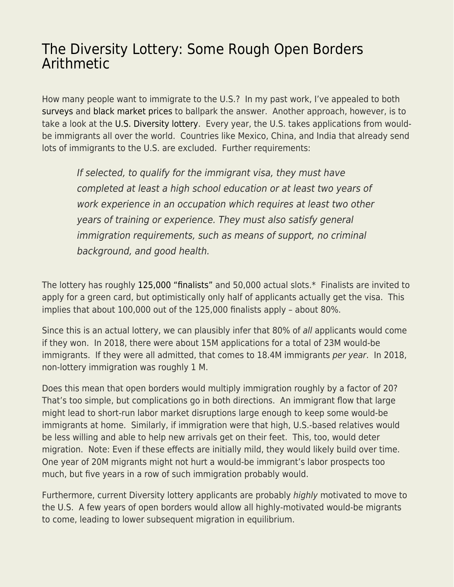## [The Diversity Lottery: Some Rough Open Borders](https://everything-voluntary.com/the-diversity-lottery-some-rough-open-borders-arithmetic) [Arithmetic](https://everything-voluntary.com/the-diversity-lottery-some-rough-open-borders-arithmetic)

How many people want to immigrate to the U.S.? In my past work, I've appealed to both [surveys](https://news.gallup.com/poll/245255/750-million-worldwide-migrate.aspx) and [black market prices](https://www.econlib.org/archives/2015/06/why_is_illegal.html) to ballpark the answer. Another approach, however, is to take a look at the [U.S. Diversity lottery](https://en.wikipedia.org/wiki/Diversity_Immigrant_Visa). Every year, the U.S. takes applications from wouldbe immigrants all over the world. Countries like Mexico, China, and India that already send lots of immigrants to the U.S. are excluded. Further requirements:

If selected, to qualify for the immigrant visa, they must have completed at least a high school education or at least two years of work experience in an occupation which requires at least two other years of training or experience. They must also satisfy general immigration requirements, such as means of support, no criminal background, and good health.

The lottery has roughly [125,000 "finalists"](https://www.investopedia.com/articles/personal-finance/021116/how-green-card-lottery-really-works.asp) and 50,000 actual slots.\* Finalists are invited to apply for a green card, but optimistically only half of applicants actually get the visa. This implies that about 100,000 out of the 125,000 finalists apply – about 80%.

Since this is an actual lottery, we can plausibly infer that 80% of all applicants would come if they won. In 2018, there were about 15M applications for a total of 23M would-be immigrants. If they were all admitted, that comes to 18.4M immigrants per year. In 2018, non-lottery immigration was roughly 1 M.

Does this mean that open borders would multiply immigration roughly by a factor of 20? That's too simple, but complications go in both directions. An immigrant flow that large might lead to short-run labor market disruptions large enough to keep some would-be immigrants at home. Similarly, if immigration were that high, U.S.-based relatives would be less willing and able to help new arrivals get on their feet. This, too, would deter migration. Note: Even if these effects are initially mild, they would likely build over time. One year of 20M migrants might not hurt a would-be immigrant's labor prospects too much, but five years in a row of such immigration probably would.

Furthermore, current Diversity lottery applicants are probably highly motivated to move to the U.S. A few years of open borders would allow all highly-motivated would-be migrants to come, leading to lower subsequent migration in equilibrium.